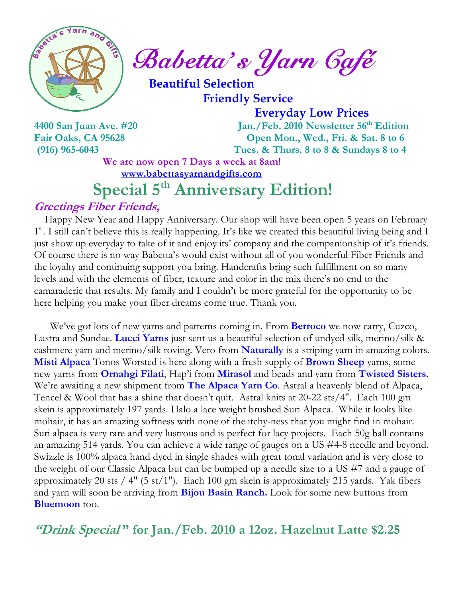

 $\int_{a}^{\frac{3}{2}} \mathbb{R} \left| \mathbb{R} \right|^{\frac{2}{3}} ds$  Babetta's Yarn Gafé

 Beautiful Selection Friendly Service

Everyday Low Prices

4400 San Juan Ave. #20 Jan./Feb. 2010 Newsletter 56<sup>th</sup> Edition Fair Oaks, CA 95628 Open Mon., Wed., Fri. & Sat. 8 to 6 (916) 965-6043 Tues. & Thurs. 8 to 8 & Sundays 8 to 4

We are now open 7 Days a week at 8am!

www.babettasyarnandgifts.com

# Special 5<sup>th</sup> Anniversary Edition!

#### Greetings Fiber Friends,

 Happy New Year and Happy Anniversary. Our shop will have been open 5 years on February 1<sup>st</sup>. I still can't believe this is really happening. It's like we created this beautiful living being and I just show up everyday to take of it and enjoy its' company and the companionship of it's friends. Of course there is no way Babetta's would exist without all of you wonderful Fiber Friends and the loyalty and continuing support you bring. Handcrafts bring such fulfillment on so many levels and with the elements of fiber, texture and color in the mix there's no end to the camaraderie that results. My family and I couldn't be more grateful for the opportunity to be here helping you make your fiber dreams come true. Thank you.

We've got lots of new yarns and patterns coming in. From **Berroco** we now carry, Cuzco, Lustra and Sundae. Lucci Yarns just sent us a beautiful selection of undyed silk, merino/silk & cashmere yarn and merino/silk roving. Vero from **Naturally** is a striping yarn in amazing colors. **Misti Alpaca** Tonos Worsted is here along with a fresh supply of **Brown Sheep** yarns, some new yarns from **Ornahgi Filati**, Hap'i from **Mirasol** and beads and yarn from **Twisted Sisters**. We're awaiting a new shipment from The Alpaca Yarn Co. Astral a heavenly blend of Alpaca, Tencel & Wool that has a shine that doesn't quit. Astral knits at 20-22 sts/4". Each 100 gm skein is approximately 197 yards. Halo a lace weight brushed Suri Alpaca. While it looks like mohair, it has an amazing softness with none of the itchy-ness that you might find in mohair. Suri alpaca is very rare and very lustrous and is perfect for lacy projects. Each 50g ball contains an amazing 514 yards. You can achieve a wide range of gauges on a US #4-8 needle and beyond. Swizzle is 100% alpaca hand dyed in single shades with great tonal variation and is very close to the weight of our Classic Alpaca but can be bumped up a needle size to a US #7 and a gauge of approximately 20 sts / 4" (5 st/1"). Each 100 gm skein is approximately 215 yards. Yak fibers and yarn will soon be arriving from **Bijou Basin Ranch.** Look for some new buttons from **Bluemoon** too.

"Drink Special" for Jan./Feb. 2010 a 12oz. Hazelnut Latte \$2.25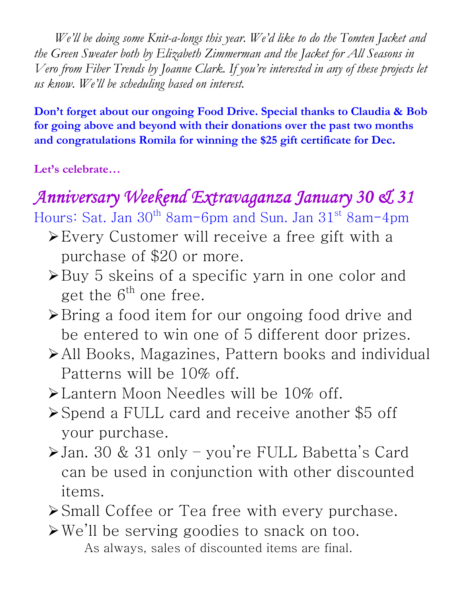We'll be doing some Knit-a-longs this year. We'd like to do the Tomten Jacket and the Green Sweater both by Elizabeth Zimmerman and the Jacket for All Seasons in Vero from Fiber Trends by Joanne Clark. If you're interested in any of these projects let us know. We'll be scheduling based on interest.

Don't forget about our ongoing Food Drive. Special thanks to Claudia & Bob for going above and beyond with their donations over the past two months and congratulations Romila for winning the \$25 gift certificate for Dec.

Let's celebrate…

# Anniversary Weekend Extravaganza January 30 & 31

Hours: Sat. Jan 30<sup>th</sup> 8am-6pm and Sun. Jan 31<sup>st</sup> 8am-4pm

- Every Customer will receive a free gift with a purchase of \$20 or more.
- $\triangleright$  Buy 5 skeins of a specific yarn in one color and get the  $6^{th}$  one free.
- **≻**Bring a food item for our ongoing food drive and be entered to win one of 5 different door prizes.
- All Books, Magazines, Pattern books and individual Patterns will be 10% off.
- Lantern Moon Needles will be 10% off.
- Spend a FULL card and receive another \$5 off your purchase.
- Jan. 30 & 31 only you're FULL Babetta's Card can be used in conjunction with other discounted items.
- Small Coffee or Tea free with every purchase.
- We'll be serving goodies to snack on too. As always, sales of discounted items are final.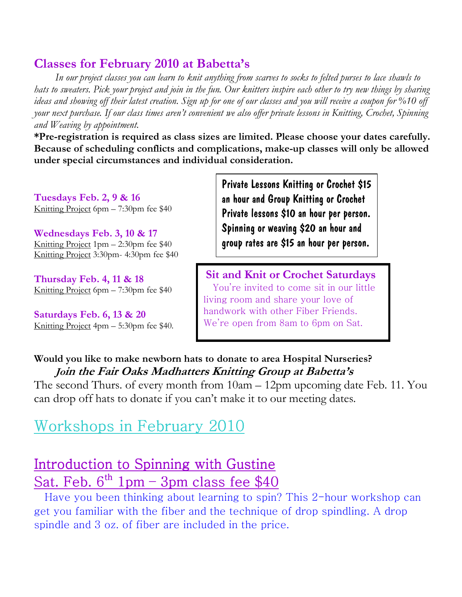#### Classes for February 2010 at Babetta's

 In our project classes you can learn to knit anything from scarves to socks to felted purses to lace shawls to hats to sweaters. Pick your project and join in the fun. Our knitters inspire each other to try new things by sharing ideas and showing off their latest creation. Sign up for one of our classes and you will receive a coupon for %10 off your next purchase. If our class times aren't convenient we also offer private lessons in Knitting, Crochet, Spinning and Weaving by appointment.

\*Pre-registration is required as class sizes are limited. Please choose your dates carefully. Because of scheduling conflicts and complications, make-up classes will only be allowed under special circumstances and individual consideration.

Tuesdays Feb. 2, 9 & 16 Knitting Project 6pm – 7:30pm fee \$40

Wednesdays Feb. 3, 10 & 17 Knitting Project 1pm – 2:30pm fee \$40 Knitting Project 3:30pm- 4:30pm fee \$40

Thursday Feb. 4, 11 & 18 Knitting Project 6pm – 7:30pm fee \$40

Saturdays Feb. 6, 13 & 20 Knitting Project 4pm – 5:30pm fee \$40. Private Lessons Knitting or Crochet \$15 an hour and Group Knitting or Crochet Private lessons \$10 an hour per person. Spinning or weaving \$20 an hour and group rates are \$15 an hour per person.

Sit and Knit or Crochet Saturdays You're invited to come sit in our little living room and share your love of handwork with other Fiber Friends. We're open from 8am to 6pm on Sat.

Would you like to make newborn hats to donate to area Hospital Nurseries? Join the Fair Oaks Madhatters Knitting Group at Babetta's

The second Thurs. of every month from 10am – 12pm upcoming date Feb. 11. You can drop off hats to donate if you can't make it to our meeting dates.

# Workshops in February 2010

### Introduction to Spinning with Gustine Sat. Feb.  $6^{th}$  1pm – 3pm class fee \$40

 Have you been thinking about learning to spin? This 2-hour workshop can get you familiar with the fiber and the technique of drop spindling. A drop spindle and 3 oz. of fiber are included in the price.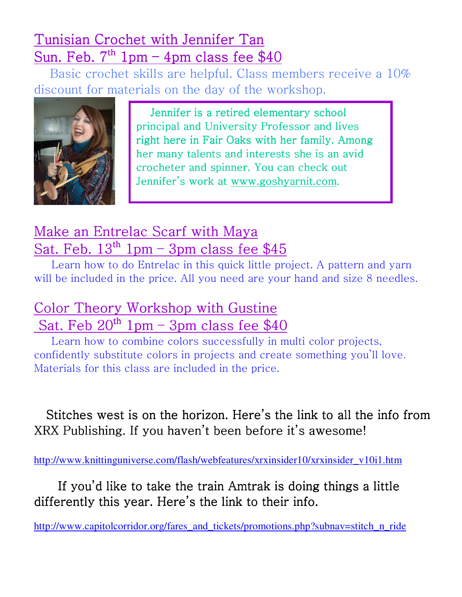## Tunisian Crochet with Jennifer Tan Sun. Feb.  $7<sup>th</sup> 1pm - 4pm$  class fee \$40

 Basic crochet skills are helpful. Class members receive a 10% discount for materials on the day of the workshop.



 Jennifer is a retired elementary school principal and University Professor and lives right here in Fair Oaks with her family. Among her many talents and interests she is an avid crocheter and spinner. You can check out Jennifer's work at www.goshyarnit.com.

# Make an Entrelac Scarf with Maya Sat. Feb.  $13^{th}$  1pm – 3pm class fee \$45

 Learn how to do Entrelac in this quick little project. A pattern and yarn will be included in the price. All you need are your hand and size 8 needles.

# Color Theory Workshop with Gustine Sat. Feb  $20^{th}$  1pm – 3pm class fee \$40

 Learn how to combine colors successfully in multi color projects, confidently substitute colors in projects and create something you'll love. Materials for this class are included in the price.

Stitches west is on the horizon. Here's the link to all the info from XRX Publishing. If you haven't been before it's awesome!

http://www.knittinguniverse.com/flash/webfeatures/xrxinsider10/xrxinsider\_v10i1.htm

If you'd like to take the train Amtrak is doing things a little differently this year. Here's the link to their info.

http://www.capitolcorridor.org/fares\_and\_tickets/promotions.php?subnav=stitch\_n\_ride